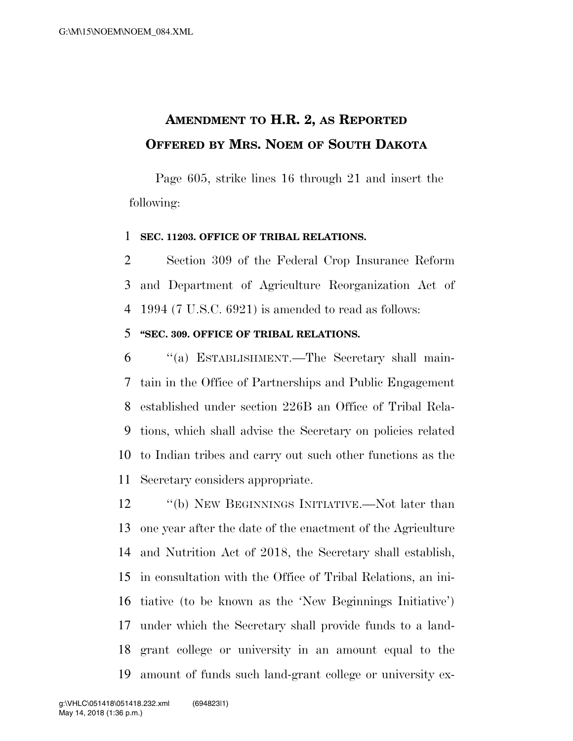## **AMENDMENT TO H.R. 2, AS REPORTED OFFERED BY MRS. NOEM OF SOUTH DAKOTA**

Page 605, strike lines 16 through 21 and insert the following:

## **SEC. 11203. OFFICE OF TRIBAL RELATIONS.**

 Section 309 of the Federal Crop Insurance Reform and Department of Agriculture Reorganization Act of 1994 (7 U.S.C. 6921) is amended to read as follows:

## **''SEC. 309. OFFICE OF TRIBAL RELATIONS.**

 ''(a) ESTABLISHMENT.—The Secretary shall main- tain in the Office of Partnerships and Public Engagement established under section 226B an Office of Tribal Rela- tions, which shall advise the Secretary on policies related to Indian tribes and carry out such other functions as the Secretary considers appropriate.

12 "(b) NEW BEGINNINGS INITIATIVE.—Not later than one year after the date of the enactment of the Agriculture and Nutrition Act of 2018, the Secretary shall establish, in consultation with the Office of Tribal Relations, an ini- tiative (to be known as the 'New Beginnings Initiative') under which the Secretary shall provide funds to a land- grant college or university in an amount equal to the amount of funds such land-grant college or university ex